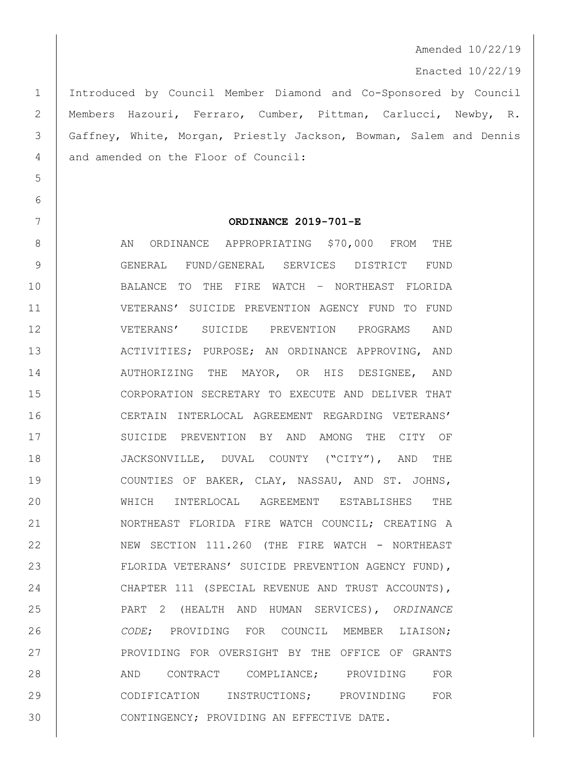Amended 10/22/19

Enacted 10/22/19

 Introduced by Council Member Diamond and Co-Sponsored by Council Members Hazouri, Ferraro, Cumber, Pittman, Carlucci, Newby, R. Gaffney, White, Morgan, Priestly Jackson, Bowman, Salem and Dennis 4 and amended on the Floor of Council:

5

6

## 7 **ORDINANCE 2019-701-E**

8 AN ORDINANCE APPROPRIATING \$70,000 FROM THE 9 GENERAL FUND/GENERAL SERVICES DISTRICT FUND 10 BALANCE TO THE FIRE WATCH – NORTHEAST FLORIDA 11 VETERANS' SUICIDE PREVENTION AGENCY FUND TO FUND 12 VETERANS' SUICIDE PREVENTION PROGRAMS AND 13 ACTIVITIES; PURPOSE; AN ORDINANCE APPROVING, AND 14 AUTHORIZING THE MAYOR, OR HIS DESIGNEE, AND 15 CORPORATION SECRETARY TO EXECUTE AND DELIVER THAT 16 CERTAIN INTERLOCAL AGREEMENT REGARDING VETERANS' 17 SUICIDE PREVENTION BY AND AMONG THE CITY OF 18 JACKSONVILLE, DUVAL COUNTY ("CITY"), AND THE 19 COUNTIES OF BAKER, CLAY, NASSAU, AND ST. JOHNS, 20 WHICH INTERLOCAL AGREEMENT ESTABLISHES THE 21 | NORTHEAST FLORIDA FIRE WATCH COUNCIL; CREATING A 22 NEW SECTION 111.260 (THE FIRE WATCH - NORTHEAST 23 | FLORIDA VETERANS' SUICIDE PREVENTION AGENCY FUND), 24 CHAPTER 111 (SPECIAL REVENUE AND TRUST ACCOUNTS), 25 PART 2 (HEALTH AND HUMAN SERVICES), *ORDINANCE*  26 *CODE*; PROVIDING FOR COUNCIL MEMBER LIAISON; 27 | PROVIDING FOR OVERSIGHT BY THE OFFICE OF GRANTS 28 AND CONTRACT COMPLIANCE; PROVIDING FOR 29 CODIFICATION INSTRUCTIONS; PROVINDING FOR 30 CONTINGENCY; PROVIDING AN EFFECTIVE DATE.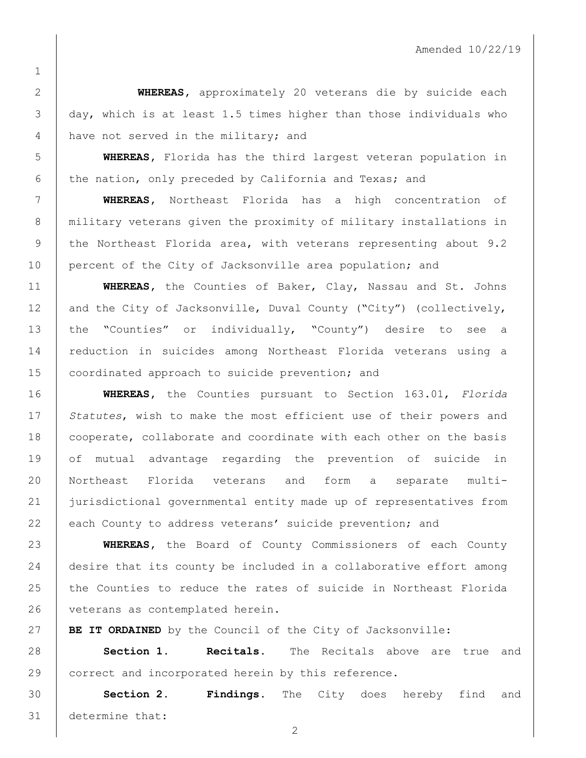**WHEREAS,** approximately 20 veterans die by suicide each day, which is at least 1.5 times higher than those individuals who 4 have not served in the military; and

 **WHEREAS,** Florida has the third largest veteran population in 6 the nation, only preceded by California and Texas; and

 **WHEREAS,** Northeast Florida has a high concentration of military veterans given the proximity of military installations in 9 the Northeast Florida area, with veterans representing about 9.2 10 percent of the City of Jacksonville area population; and

 **WHEREAS,** the Counties of Baker, Clay, Nassau and St. Johns 12 and the City of Jacksonville, Duval County ("City") (collectively, the "Counties" or individually, "County") desire to see a reduction in suicides among Northeast Florida veterans using a 15 | coordinated approach to suicide prevention; and

 **WHEREAS,** the Counties pursuant to Section 163.01, *Florida Statutes*, wish to make the most efficient use of their powers and 18 | cooperate, collaborate and coordinate with each other on the basis of mutual advantage regarding the prevention of suicide in Northeast Florida veterans and form a separate multi- jurisdictional governmental entity made up of representatives from 22 each County to address veterans' suicide prevention; and

 **WHEREAS,** the Board of County Commissioners of each County 24 | desire that its county be included in a collaborative effort among the Counties to reduce the rates of suicide in Northeast Florida 26 veterans as contemplated herein.

**BE IT ORDAINED** by the Council of the City of Jacksonville:

 **Section 1. Recitals.** The Recitals above are true and 29 correct and incorporated herein by this reference.

 **Section 2. Findings.** The City does hereby find and determine that: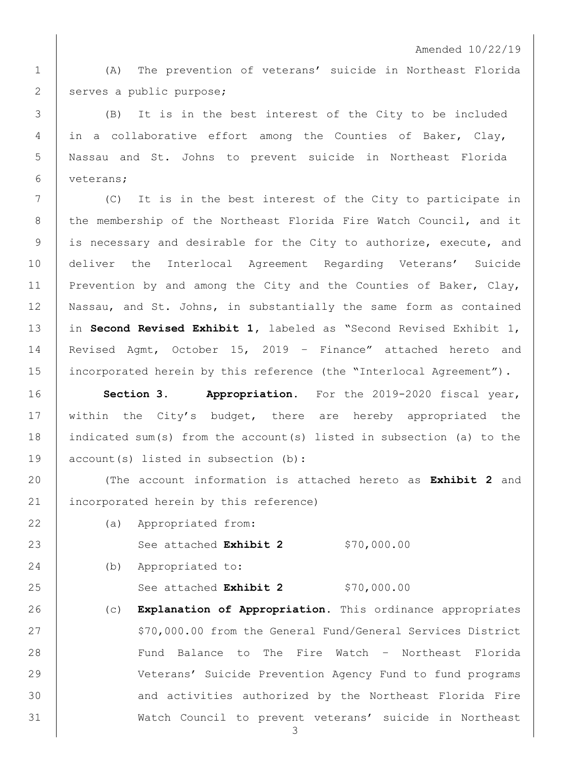Amended 10/22/19

1 (A) The prevention of veterans' suicide in Northeast Florida 2 serves a public purpose;

 (B) It is in the best interest of the City to be included in a collaborative effort among the Counties of Baker, Clay, Nassau and St. Johns to prevent suicide in Northeast Florida veterans;

7 (C) It is in the best interest of the City to participate in 8 the membership of the Northeast Florida Fire Watch Council, and it 9 is necessary and desirable for the City to authorize, execute, and 10 deliver the Interlocal Agreement Regarding Veterans' Suicide 11 Prevention by and among the City and the Counties of Baker, Clay, 12 | Nassau, and St. Johns, in substantially the same form as contained 13 in **Second Revised Exhibit 1,** labeled as "Second Revised Exhibit 1, 14 Revised Agmt, October 15, 2019 – Finance" attached hereto and 15 incorporated herein by this reference (the "Interlocal Agreement").

16 **Section 3. Appropriation.** For the 2019-2020 fiscal year, 17 | within the City's budget, there are hereby appropriated the 18 indicated sum(s) from the account(s) listed in subsection (a) to the 19 account(s) listed in subsection (b):

20 (The account information is attached hereto as **Exhibit 2** and 21 | incorporated herein by this reference)

22 (a) Appropriated from:

23 See attached **Exhibit 2** \$70,000.00

24 (b) Appropriated to:

25 See attached **Exhibit 2** \$70,000.00

 (c) **Explanation of Appropriation.** This ordinance appropriates 27 | S70,000.00 from the General Fund/General Services District Fund Balance to The Fire Watch – Northeast Florida Veterans' Suicide Prevention Agency Fund to fund programs 30 and activities authorized by the Northeast Florida Fire Watch Council to prevent veterans' suicide in Northeast

3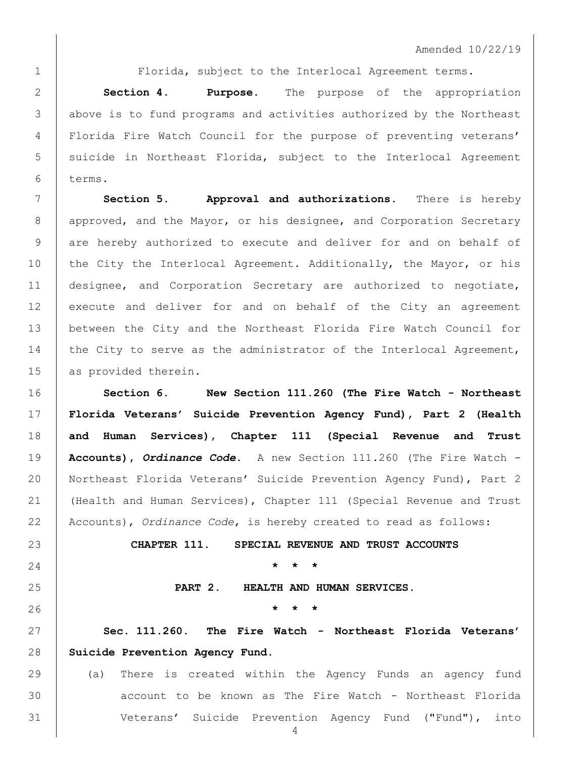Florida, subject to the Interlocal Agreement terms.

 **Section 4**. **Purpose.** The purpose of the appropriation above is to fund programs and activities authorized by the Northeast Florida Fire Watch Council for the purpose of preventing veterans' 5 | suicide in Northeast Florida, subject to the Interlocal Agreement terms.

 **Section 5. Approval and authorizations.** There is hereby 8 | approved, and the Mayor, or his designee, and Corporation Secretary 9 are hereby authorized to execute and deliver for and on behalf of 10 the City the Interlocal Agreement. Additionally, the Mayor, or his designee, and Corporation Secretary are authorized to negotiate, 12 execute and deliver for and on behalf of the City an agreement between the City and the Northeast Florida Fire Watch Council for 14 the City to serve as the administrator of the Interlocal Agreement, 15 as provided therein.

 **Section 6. New Section 111.260 (The Fire Watch - Northeast Florida Veterans' Suicide Prevention Agency Fund), Part 2 (Health and Human Services), Chapter 111 (Special Revenue and Trust Accounts),** *Ordinance Code***.** A new Section 111.260 (The Fire Watch - 20 | Northeast Florida Veterans' Suicide Prevention Agency Fund), Part 2 (Health and Human Services), Chapter 111 (Special Revenue and Trust Accounts), *Ordinance Code*, is hereby created to read as follows:

**CHAPTER 111. SPECIAL REVENUE AND TRUST ACCOUNTS**

**\* \* \***

**PART 2. HEALTH AND HUMAN SERVICES.**

**\* \* \***

 **Sec. 111.260. The Fire Watch - Northeast Florida Veterans' Suicide Prevention Agency Fund.** 

 (a) There is created within the Agency Funds an agency fund account to be known as The Fire Watch - Northeast Florida Veterans' Suicide Prevention Agency Fund ("Fund"), into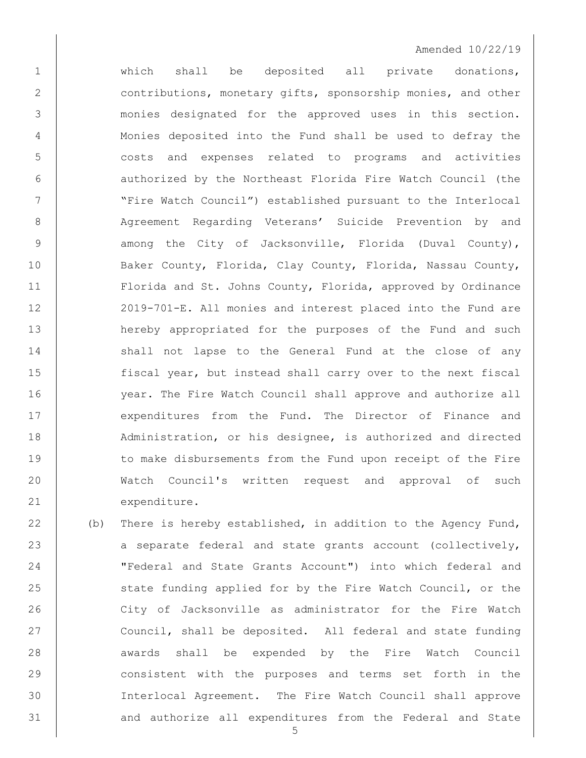## Amended 10/22/19

1 | Which shall be deposited all private donations, 2 contributions, monetary gifts, sponsorship monies, and other 3 monies designated for the approved uses in this section. 4 Monies deposited into the Fund shall be used to defray the 5 costs and expenses related to programs and activities 6 | authorized by the Northeast Florida Fire Watch Council (the 7 | Tire Watch Council") established pursuant to the Interlocal 8 | Agreement Regarding Veterans' Suicide Prevention by and 9 | among the City of Jacksonville, Florida (Duval County), 10 Baker County, Florida, Clay County, Florida, Nassau County, 11 Florida and St. Johns County, Florida, approved by Ordinance 12 2019-701-E. All monies and interest placed into the Fund are 13 hereby appropriated for the purposes of the Fund and such 14 shall not lapse to the General Fund at the close of any 15 fiscal year, but instead shall carry over to the next fiscal 16 year. The Fire Watch Council shall approve and authorize all 17 expenditures from the Fund. The Director of Finance and 18 | Administration, or his designee, is authorized and directed 19 to make disbursements from the Fund upon receipt of the Fire 20 Watch Council's written request and approval of such 21 expenditure.

22 (b) There is hereby established, in addition to the Agency Fund, 23 a separate federal and state grants account (collectively, 24 "Federal and State Grants Account") into which federal and 25 State funding applied for by the Fire Watch Council, or the 26 City of Jacksonville as administrator for the Fire Watch 27 Council, shall be deposited. All federal and state funding 28 | awards shall be expended by the Fire Watch Council 29 consistent with the purposes and terms set forth in the 30 Interlocal Agreement. The Fire Watch Council shall approve 31 and authorize all expenditures from the Federal and State

5